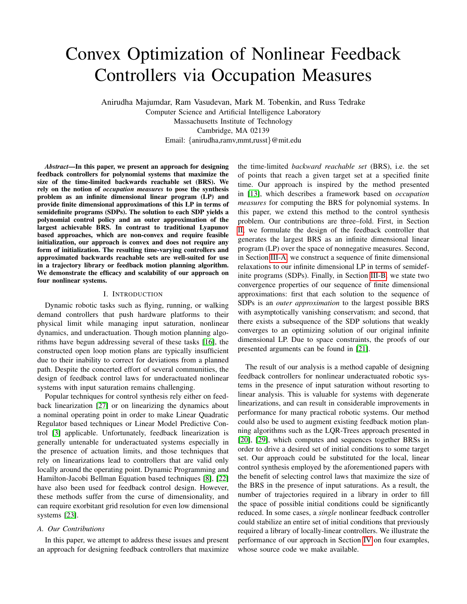# <span id="page-0-0"></span>Convex Optimization of Nonlinear Feedback Controllers via Occupation Measures

Anirudha Majumdar, Ram Vasudevan, Mark M. Tobenkin, and Russ Tedrake Computer Science and Artificial Intelligence Laboratory Massachusetts Institute of Technology Cambridge, MA 02139 Email: {anirudha,ramv,mmt,russt}@mit.edu

*Abstract*—In this paper, we present an approach for designing feedback controllers for polynomial systems that maximize the size of the time-limited backwards reachable set (BRS). We rely on the notion of *occupation measures* to pose the synthesis problem as an infinite dimensional linear program (LP) and provide finite dimensional approximations of this LP in terms of semidefinite programs (SDPs). The solution to each SDP yields a polynomial control policy and an outer approximation of the largest achievable BRS. In contrast to traditional Lyapunov based approaches, which are non-convex and require feasible initialization, our approach is convex and does not require any form of initialization. The resulting time-varying controllers and approximated backwards reachable sets are well-suited for use in a trajectory library or feedback motion planning algorithm. We demonstrate the efficacy and scalability of our approach on four nonlinear systems.

# I. INTRODUCTION

Dynamic robotic tasks such as flying, running, or walking demand controllers that push hardware platforms to their physical limit while managing input saturation, nonlinear dynamics, and underactuation. Though motion planning algorithms have begun addressing several of these tasks [\[16\]](#page-7-0), the constructed open loop motion plans are typically insufficient due to their inability to correct for deviations from a planned path. Despite the concerted effort of several communities, the design of feedback control laws for underactuated nonlinear systems with input saturation remains challenging.

Popular techniques for control synthesis rely either on feedback linearization [\[27\]](#page-7-1) or on linearizing the dynamics about a nominal operating point in order to make Linear Quadratic Regulator based techniques or Linear Model Predictive Control [\[3\]](#page-7-2) applicable. Unfortunately, feedback linearization is generally untenable for underactuated systems especially in the presence of actuation limits, and those techniques that rely on linearizations lead to controllers that are valid only locally around the operating point. Dynamic Programming and Hamilton-Jacobi Bellman Equation based techniques [\[8\]](#page-7-3), [\[22\]](#page-7-4) have also been used for feedback control design. However, these methods suffer from the curse of dimensionality, and can require exorbitant grid resolution for even low dimensional systems [\[23\]](#page-7-5).

# *A. Our Contributions*

In this paper, we attempt to address these issues and present an approach for designing feedback controllers that maximize the time-limited *backward reachable set* (BRS), i.e. the set of points that reach a given target set at a specified finite time. Our approach is inspired by the method presented in [\[13\]](#page-7-6), which describes a framework based on *occupation measures* for computing the BRS for polynomial systems. In this paper, we extend this method to the control synthesis problem. Our contributions are three–fold. First, in Section [II,](#page-1-0) we formulate the design of the feedback controller that generates the largest BRS as an infinite dimensional linear program (LP) over the space of nonnegative measures. Second, in Section [III-A,](#page-4-0) we construct a sequence of finite dimensional relaxations to our infinite dimensional LP in terms of semidefinite programs (SDPs). Finally, in Section [III-B,](#page-4-1) we state two convergence properties of our sequence of finite dimensional approximations: first that each solution to the sequence of SDPs is an *outer approximation* to the largest possible BRS with asymptotically vanishing conservatism; and second, that there exists a subsequence of the SDP solutions that weakly converges to an optimizing solution of our original infinite dimensional LP. Due to space constraints, the proofs of our presented arguments can be found in [\[21\]](#page-7-7).

The result of our analysis is a method capable of designing feedback controllers for nonlinear underactuated robotic systems in the presence of input saturation without resorting to linear analysis. This is valuable for systems with degenerate linearizations, and can result in considerable improvements in performance for many practical robotic systems. Our method could also be used to augment existing feedback motion planning algorithms such as the LQR-Trees approach presented in [\[20\]](#page-7-8), [\[29\]](#page-7-9), which computes and sequences together BRSs in order to drive a desired set of initial conditions to some target set. Our approach could be substituted for the local, linear control synthesis employed by the aforementioned papers with the benefit of selecting control laws that maximize the size of the BRS in the presence of input saturations. As a result, the number of trajectories required in a library in order to fill the space of possible initial conditions could be significantly reduced. In some cases, a *single* nonlinear feedback controller could stabilize an entire set of initial conditions that previously required a library of locally-linear controllers. We illustrate the performance of our approach in Section [IV](#page-5-0) on four examples, whose source code we make available.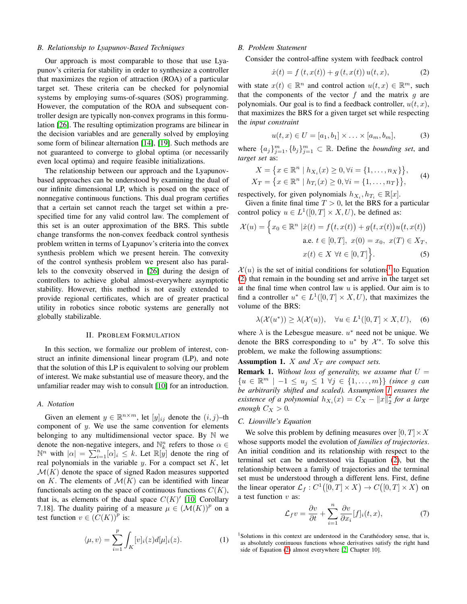## *B. Relationship to Lyapunov-Based Techniques*

Our approach is most comparable to those that use Lyapunov's criteria for stability in order to synthesize a controller that maximizes the region of attraction (ROA) of a particular target set. These criteria can be checked for polynomial systems by employing sums-of-squares (SOS) programming. However, the computation of the ROA and subsequent controller design are typically non-convex programs in this formulation [\[26\]](#page-7-10). The resulting optimization programs are bilinear in the decision variables and are generally solved by employing some form of bilinear alternation [\[14\]](#page-7-11), [\[19\]](#page-7-12). Such methods are not guaranteed to converge to global optima (or necessarily even local optima) and require feasible initializations.

The relationship between our approach and the Lyapunovbased approaches can be understood by examining the dual of our infinite dimensional LP, which is posed on the space of nonnegative continuous functions. This dual program certifies that a certain set cannot reach the target set within a prespecified time for any valid control law. The complement of this set is an outer approximation of the BRS. This subtle change transforms the non-convex feedback control synthesis problem written in terms of Lyapunov's criteria into the convex synthesis problem which we present herein. The convexity of the control synthesis problem we present also has parallels to the convexity observed in [\[26\]](#page-7-10) during the design of controllers to achieve global almost-everywhere asymptotic stability. However, this method is not easily extended to provide regional certificates, which are of greater practical utility in robotics since robotic systems are generally not globally stabilizable.

## II. PROBLEM FORMULATION

<span id="page-1-0"></span>In this section, we formalize our problem of interest, construct an infinite dimensional linear program (LP), and note that the solution of this LP is equivalent to solving our problem of interest. We make substantial use of measure theory, and the unfamiliar reader may wish to consult [\[10\]](#page-7-13) for an introduction.

## *A. Notation*

Given an element  $y \in \mathbb{R}^{n \times m}$ , let  $[y]_{ij}$  denote the  $(i, j)$ -th component of  $y$ . We use the same convention for elements belonging to any multidimensional vector space. By  $\mathbb N$  we denote the non-negative integers, and  $\mathbb{N}_k^n$  refers to those  $\alpha \in$  $\mathbb{N}^n$  with  $|\alpha| = \sum_{i=1}^n [\alpha]_i \leq k$ . Let  $\mathbb{R}[y]$  denote the ring of real polynomials in the variable  $y$ . For a compact set  $K$ , let  $\mathcal{M}(K)$  denote the space of signed Radon measures supported on K. The elements of  $\mathcal{M}(K)$  can be identified with linear functionals acting on the space of continuous functions  $C(K)$ , that is, as elements of the dual space  $C(K)$ <sup>'</sup> [\[10,](#page-7-13) Corollary 7.18]. The duality pairing of a measure  $\mu \in (\mathcal{M}(K))^p$  on a test function  $v \in (C(K))^p$  is:

$$
\langle \mu, v \rangle = \sum_{i=1}^{p} \int_{K} [v]_i(z) d[\mu]_i(z). \tag{1}
$$

## *B. Problem Statement*

Consider the control-affine system with feedback control

<span id="page-1-1"></span>
$$
\dot{x}(t) = f(t, x(t)) + g(t, x(t))u(t, x), \tag{2}
$$

with state  $x(t) \in \mathbb{R}^n$  and control action  $u(t, x) \in \mathbb{R}^m$ , such that the components of the vector  $f$  and the matrix  $q$  are polynomials. Our goal is to find a feedback controller,  $u(t, x)$ , that maximizes the BRS for a given target set while respecting the *input constraint*

$$
u(t, x) \in U = [a_1, b_1] \times ... \times [a_m, b_m],
$$
 (3)

where  $\{a_j\}_{j=1}^m$ ,  $\{b_j\}_{j=1}^m$   $\subset \mathbb{R}$ . Define the *bounding set*, and *target set* as:

$$
X = \{x \in \mathbb{R}^n \mid h_{X_i}(x) \ge 0, \forall i = \{1, ..., n_X\}\},
$$
  
\n
$$
X_T = \{x \in \mathbb{R}^n \mid h_{T_i}(x) \ge 0, \forall i = \{1, ..., n_T\}\},
$$
\n(4)

respectively, for given polynomials  $h_{X_i}, h_{T_i} \in \mathbb{R}[x]$ .

Given a finite final time  $T > 0$ , let the BRS for a particular control policy  $u \in L^1([0, T] \times X, U)$ , be defined as:

$$
\mathcal{X}(u) = \left\{ x_0 \in \mathbb{R}^n \mid \dot{x}(t) = f(t, x(t)) + g(t, x(t))u(t, x(t)) \right\}
$$
  
a.e.  $t \in [0, T], x(0) = x_0, x(T) \in X_T,$   
 $x(t) \in X \ \forall t \in [0, T] \right\}.$  (5)

 $\mathcal{X}(u)$  is the set of initial conditions for solutions<sup>[1](#page-0-0)</sup> to Equation [\(2\)](#page-1-1) that remain in the bounding set and arrive in the target set at the final time when control law  $u$  is applied. Our aim is to find a controller  $u^* \in L^1([0,T] \times X, U)$ , that maximizes the volume of the BRS:

<span id="page-1-3"></span>
$$
\lambda(\mathcal{X}(u^*)) \ge \lambda(\mathcal{X}(u)), \quad \forall u \in L^1([0, T] \times X, U), \quad (6)
$$

where  $\lambda$  is the Lebesgue measure.  $u^*$  need not be unique. We denote the BRS corresponding to  $u^*$  by  $\mathcal{X}^*$ . To solve this problem, we make the following assumptions:

<span id="page-1-2"></span>**Assumption 1.** *X* and  $X_T$  are compact sets.

**Remark 1.** Without loss of generality, we assume that  $U =$  ${u \in \mathbb{R}^m$  | −1 ≤  $u_j$  ≤ 1  $\forall j \in \{1, ..., m\}$  *(since g can*) *be arbitrarily shifted and scaled). Assumption [1](#page-1-2) ensures the existence of a polynomial*  $h_{X_i}(x) = C_X - ||x||_2^2$  *for a large enough*  $C_X > 0$ *.* 

#### *C. Liouville's Equation*

We solve this problem by defining measures over  $[0, T] \times X$ whose supports model the evolution of *families of trajectories*. An initial condition and its relationship with respect to the terminal set can be understood via Equation [\(2\)](#page-1-1), but the relationship between a family of trajectories and the terminal set must be understood through a different lens. First, define the linear operator  $\mathcal{L}_f: C^1([0,T] \times X) \to C([0,T] \times X)$  on a test function  $v$  as:

$$
\mathcal{L}_f v = \frac{\partial v}{\partial t} + \sum_{i=1}^n \frac{\partial v}{\partial x_i} [f]_i(t, x),\tag{7}
$$

 $1$ Solutions in this context are understood in the Carathéodory sense, that is, as absolutely continuous functions whose derivatives satisfy the right hand side of Equation [\(2\)](#page-1-1) almost everywhere [\[2,](#page-7-14) Chapter 10].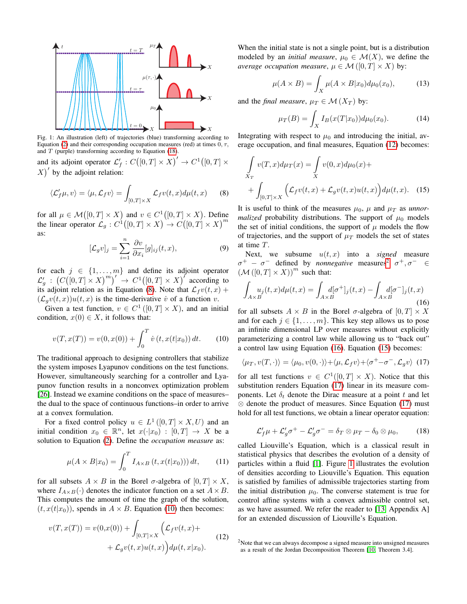<span id="page-2-7"></span>

Fig. 1: An illustration (left) of trajectories (blue) transforming according to Equation [\(2\)](#page-1-1) and their corresponding occupation measures (red) at times  $0, \tau$ , and  $T$  (purple) transforming according to Equation [\(18\)](#page-2-0).

and its adjoint operator  $\mathcal{L}'_f : C([0,T] \times X)' \to C^1([0,T] \times$  $X'$  by the adjoint relation:

<span id="page-2-1"></span>
$$
\langle \mathcal{L}'_f \mu, v \rangle = \langle \mu, \mathcal{L}_f v \rangle = \int_{[0,T] \times X} \mathcal{L}_f v(t, x) d\mu(t, x) \qquad (8)
$$

for all  $\mu \in \mathcal{M}([0, T] \times X)$  and  $v \in C^1([0, T] \times X)$ . Define the linear operator  $\mathcal{L}_g : C^1([0,T] \times X) \to C([0,T] \times X)^m$ as:

$$
[\mathcal{L}_g v]_j = \sum_{i=1}^n \frac{\partial v}{\partial x_i} [g]_{ij}(t, x), \tag{9}
$$

for each  $j \in \{1, ..., m\}$  and define its adjoint operator  $\mathcal{L}'_g$ :  $(C([0, T] \times X)^m)' \rightarrow C^1([0, T] \times X)'$  according to its adjoint relation as in Equation [\(8\)](#page-2-1). Note that  $\mathcal{L}_f v(t, x)$  +  $(\mathcal{L}_q v(t, x))u(t, x)$  is the time-derivative v of a function v.

Given a test function,  $v \in C^1([0, T] \times X)$ , and an initial condition,  $x(0) \in X$ , it follows that:

$$
v(T, x(T)) = v(0, x(0)) + \int_0^T \dot{v}(t, x(t|x_0)) dt.
$$
 (10)

The traditional approach to designing controllers that stabilize the system imposes Lyapunov conditions on the test functions. However, simultaneously searching for a controller and Lyapunov function results in a nonconvex optimization problem [\[26\]](#page-7-10). Instead we examine conditions on the space of measures– the dual to the space of continuous functions–in order to arrive at a convex formulation.

For a fixed control policy  $u \in L^1([0,T] \times X, U)$  and an initial condition  $x_0 \in \mathbb{R}^n$ , let  $x(\cdot|x_0) : [0, T] \rightarrow X$  be a solution to Equation [\(2\)](#page-1-1). Define the *occupation measure* as:

$$
\mu(A \times B | x_0) = \int_0^T I_{A \times B} (t, x(t | x_0)) ) dt, \qquad (11)
$$

for all subsets  $A \times B$  in the Borel  $\sigma$ -algebra of  $[0, T] \times X$ , where  $I_{A\times B}(\cdot)$  denotes the indicator function on a set  $A\times B$ . This computes the amount of time the graph of the solution,  $(t, x(t|x_0))$ , spends in  $A \times B$ . Equation [\(10\)](#page-2-2) then becomes:

$$
v(T, x(T)) = v(0,x(0)) + \int_{[0,T] \times X} \left( \mathcal{L}_f v(t, x) + \\ + \mathcal{L}_g v(t, x) u(t, x) \right) d\mu(t, x|x_0).
$$
 (12)

When the initial state is not a single point, but is a distribution modeled by an *initial measure*,  $\mu_0 \in \mathcal{M}(X)$ , we define the *average occupation measure,*  $\mu \in \mathcal{M}([0, T] \times X)$  by:

$$
\mu(A \times B) = \int_X \mu(A \times B | x_0) d\mu_0(x_0), \tag{13}
$$

and the *final measure*,  $\mu_T \in \mathcal{M}(X_T)$  by:

<span id="page-2-5"></span>
$$
\mu_T(B) = \int_X I_B(x(T|x_0)) d\mu_0(x_0).
$$
 (14)

Integrating with respect to  $\mu_0$  and introducing the initial, average occupation, and final measures, Equation [\(12\)](#page-2-3) becomes:

$$
\int_{X_T} v(T, x) d\mu_T(x) = \int_X v(0, x) d\mu_0(x) +
$$
  
+ 
$$
\int_{[0, T] \times X} \left( \mathcal{L}_f v(t, x) + \mathcal{L}_g v(t, x) u(t, x) \right) d\mu(t, x).
$$
 (15)

It is useful to think of the measures  $\mu_0$ ,  $\mu$  and  $\mu_T$  as *unnormalized* probability distributions. The support of  $\mu_0$  models the set of initial conditions, the support of  $\mu$  models the flow of trajectories, and the support of  $\mu_T$  models the set of states at time T.

Next, we subsume  $u(t, x)$  into a *signed* measure  $\sigma^+$  –  $\sigma^-$  defined by *nonnegative* measures<sup>[2](#page-0-0)</sup>  $\sigma^+$ ,  $\sigma^ \in$  $(\mathcal{M}([0, T] \times X))^m$  such that:

<span id="page-2-4"></span>
$$
\int_{A\times B} u_j(t,x)d\mu(t,x) = \int_{A\times B} d[\sigma^+]_j(t,x) - \int_{A\times B} d[\sigma^-]_j(t,x)
$$
\n(16)

<span id="page-2-2"></span>for all subsets  $A \times B$  in the Borel  $\sigma$ -algebra of  $[0, T] \times X$ and for each  $j \in \{1, \ldots, m\}$ . This key step allows us to pose an infinite dimensional LP over measures without explicitly parameterizing a control law while allowing us to "back out" a control law using Equation [\(16\)](#page-2-4). Equation [\(15\)](#page-2-5) becomes:

<span id="page-2-6"></span>
$$
\langle \mu_T, v(T, \cdot) \rangle = \langle \mu_0, v(0, \cdot) \rangle + \langle \mu, \mathcal{L}_f v \rangle + \langle \sigma^+ - \sigma^-, \mathcal{L}_g v \rangle \tag{17}
$$

for all test functions  $v \in C^1([0,T] \times X)$ . Notice that this substitution renders Equation [\(17\)](#page-2-6) linear in its measure components. Let  $\delta_t$  denote the Dirac measure at a point t and let ⊗ denote the product of measures. Since Equation [\(17\)](#page-2-6) must hold for all test functions, we obtain a linear operator equation:

<span id="page-2-0"></span>
$$
\mathcal{L}'_f \mu + \mathcal{L}'_g \sigma^+ - \mathcal{L}'_g \sigma^- = \delta_T \otimes \mu_T - \delta_0 \otimes \mu_0, \tag{18}
$$

called Liouville's Equation, which is a classical result in statistical physics that describes the evolution of a density of particles within a fluid [\[1\]](#page-7-15). Figure [1](#page-2-7) illustrates the evolution of densities according to Liouville's Equation. This equation is satisfied by families of admissible trajectories starting from the initial distribution  $\mu_0$ . The converse statement is true for control affine systems with a convex admissible control set, as we have assumed. We refer the reader to [\[13,](#page-7-6) Appendix A] for an extended discussion of Liouville's Equation.

<span id="page-2-3"></span><sup>&</sup>lt;sup>2</sup>Note that we can always decompose a signed measure into unsigned measures as a result of the Jordan Decomposition Theorem [\[10,](#page-7-13) Theorem 3.4].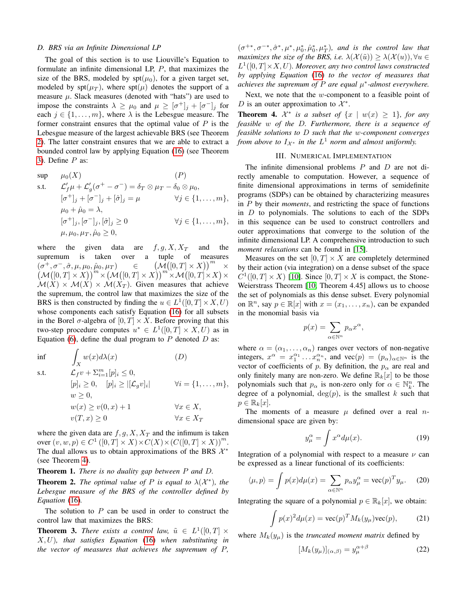## *D. BRS via an Infinite Dimensional LP*

The goal of this section is to use Liouville's Equation to formulate an infinite dimensional LP, P, that maximizes the size of the BRS, modeled by  $spt(\mu_0)$ , for a given target set, modeled by  $\text{spt}(\mu_T)$ , where  $\text{spt}(\mu)$  denotes the support of a measure  $\mu$ . Slack measures (denoted with "hats") are used to impose the constraints  $\lambda \geq \mu_0$  and  $\mu \geq [\sigma^+]_j + [\sigma^-]_j$  for each  $j \in \{1, \ldots, m\}$ , where  $\lambda$  is the Lebesgue measure. The former constraint ensures that the optimal value of  $P$  is the Lebesgue measure of the largest achievable BRS (see Theorem [2\)](#page-3-0). The latter constraint ensures that we are able to extract a bounded control law by applying Equation [\(16\)](#page-2-4) (see Theorem [3\)](#page-3-1). Define  $P$  as:

$$
\begin{aligned}\n\sup \quad & \mu_0(X) \quad (P) \\
\text{s.t.} \quad & \mathcal{L}'_f \mu + \mathcal{L}'_g(\sigma^+ - \sigma^-) = \delta_T \otimes \mu_T - \delta_0 \otimes \mu_0, \\
& [\sigma^+]_j + [\sigma^-]_j + [\hat{\sigma}]_j &= \mu \quad \forall j \in \{1, \dots, m\}, \\
& \mu_0 + \hat{\mu}_0 = \lambda, \\
& [\sigma^+]_j, [\sigma^-]_j, [\hat{\sigma}]_j &\ge 0 \quad \forall j \in \{1, \dots, m\}, \\
& \mu, \mu_0, \mu_T, \hat{\mu}_0 \ge 0,\n\end{aligned}
$$

where the given data are  $f, g, X, X_T$  and the supremum is taken over a tuple of measures  $(\sigma^+, \sigma^-, \hat{\sigma}, \mu, \mu_0, \hat{\mu}_0, \mu_T)$   $\in$  $\left(\mathcal{M}\left([0,T]\times X\right)\right)^m$ ×  $\left(\mathcal{M}\big([0,T]\times X\big)\right)^m\times \left(\mathcal{M}\big([0,T]\times X\big)\right)^m\times \mathcal{M}\big([0,T]\times X\big)\times$  $\mathcal{M}(X) \times \mathcal{M}(X) \times \mathcal{M}(X_T)$ . Given measures that achieve the supremum, the control law that maximizes the size of the BRS is then constructed by finding the  $u \in L^1([0, T] \times X, U)$ whose components each satisfy Equation [\(16\)](#page-2-4) for all subsets in the Borel  $\sigma$ -algebra of  $[0, T] \times X$ . Before proving that this two-step procedure computes  $u^* \in L^1([0,T] \times X,U)$  as in Equation [\(6\)](#page-1-3), define the dual program to  $P$  denoted  $D$  as:

 $\inf$ X  $w(x)d\lambda(x)$  (D) s.t.  $\mathcal{L}_f v + \sum_{i=1}^m [p]_i \leq 0,$  $[p]_i \geq 0, \quad [p]_i \geq |[\mathcal{L}_g v]_i|$  $\forall i = \{1, \ldots, m\},\$  $w > 0$ ,  $w(x) \geq v(0, x) + 1$   $\forall x \in X,$  $v(T, x) \geq 0$   $\forall x \in X_T$ 

where the given data are  $f, g, X, X_T$  and the infimum is taken over  $(v, w, p) \in C^1 ([0, T] \times X) \times C(X) \times (C([0, T] \times X))^{m}$ . The dual allows us to obtain approximations of the BRS  $\mathcal{X}^*$ (see Theorem [4\)](#page-3-2).

Theorem 1. *There is no duality gap between* P *and* D*.*

<span id="page-3-0"></span>**Theorem 2.** *The optimal value of*  $P$  *is equal to*  $\lambda(\mathcal{X}^*)$ *, the Lebesgue measure of the BRS of the controller defined by Equation* [\(16\)](#page-2-4)*.*

The solution to  $P$  can be used in order to construct the control law that maximizes the BRS:

<span id="page-3-1"></span>**Theorem 3.** *There exists a control law,*  $\tilde{u} \in L^1([0, T] \times$ X, U)*, that satisfies Equation* [\(16\)](#page-2-4) *when substituting in the vector of measures that achieves the supremum of* P*,*

 $(\sigma^{+*}, \sigma^{-*}, \hat{\sigma}^*, \mu^*, \mu_0^*, \hat{\mu}_0^*, \mu_T^*)$ , and is the control law that *maximizes the size of the BRS, i.e.*  $\lambda(\mathcal{X}(\tilde{u})) \geq \lambda(\mathcal{X}(u)), \forall u \in$  $L^1([0,T]\times X,U)$ *. Moreover, any two control laws constructed by applying Equation* [\(16\)](#page-2-4) *to the vector of measures that achieves the supremum of*  $P$  *are equal*  $\mu^*$ -almost everywhere.

Next, we note that the w-component to a feasible point of D is an outer approximation to  $\mathcal{X}^*$ .

<span id="page-3-2"></span>**Theorem 4.**  $\mathcal{X}^*$  is a subset of  $\{x \mid w(x) \geq 1\}$ , for any *feasible* w *of the* D*. Furthermore, there is a sequence of feasible solutions to* D *such that the* w*-component converges from above to*  $I_{\mathcal{X}^*}$  *in the*  $L^1$  *norm and almost uniformly.* 

# III. NUMERICAL IMPLEMENTATION

The infinite dimensional problems  $P$  and  $D$  are not directly amenable to computation. However, a sequence of finite dimensional approximations in terms of semidefinite programs (SDPs) can be obtained by characterizing measures in P by their *moments*, and restricting the space of functions in  $D$  to polynomials. The solutions to each of the SDPs in this sequence can be used to construct controllers and outer approximations that converge to the solution of the infinite dimensional LP. A comprehensive introduction to such *moment relaxations* can be found in [\[15\]](#page-7-16).

Measures on the set  $[0, T] \times X$  are completely determined by their action (via integration) on a dense subset of the space  $C^1([0,T] \times X)$  [\[10\]](#page-7-13). Since  $[0,T] \times X$  is compact, the Stone-Weierstrass Theorem [\[10,](#page-7-13) Theorem 4.45] allows us to choose the set of polynomials as this dense subset. Every polynomial on  $\mathbb{R}^n$ , say  $p \in \mathbb{R}[x]$  with  $x = (x_1, \dots, x_n)$ , can be expanded in the monomial basis via

$$
p(x) = \sum_{\alpha \in \mathbb{N}^n} p_{\alpha} x^{\alpha},
$$

where  $\alpha = (\alpha_1, \dots, \alpha_n)$  ranges over vectors of non-negative integers,  $x^{\alpha} = x_1^{\alpha_1} \dots x_n^{\alpha_n}$ , and  $\text{vec}(p) = (p_{\alpha})_{\alpha \in \mathbb{N}^n}$  is the vector of coefficients of p. By definition, the  $p_{\alpha}$  are real and only finitely many are non-zero. We define  $\mathbb{R}_k[x]$  to be those polynomials such that  $p_{\alpha}$  is non-zero only for  $\alpha \in \mathbb{N}_k^n$ . The degree of a polynomial,  $deg(p)$ , is the smallest k such that  $p \in \mathbb{R}_k[x]$ .

The moments of a measure  $\mu$  defined over a real *n*dimensional space are given by:

$$
y_{\mu}^{\alpha} = \int x^{\alpha} d\mu(x). \tag{19}
$$

Integration of a polynomial with respect to a measure  $\nu$  can be expressed as a linear functional of its coefficients:

$$
\langle \mu, p \rangle = \int p(x) d\mu(x) = \sum_{\alpha \in \mathbb{N}^n} p_{\alpha} y_{\mu}^{\alpha} = \text{vec}(p)^T y_{\mu}. \tag{20}
$$

Integrating the square of a polynomial  $p \in \mathbb{R}_k[x]$ , we obtain:

$$
\int p(x)^2 d\mu(x) = \text{vec}(p)^T M_k(y_\mu) \text{vec}(p), \tag{21}
$$

where  $M_k(y_\mu)$  is the *truncated moment matrix* defined by

$$
[M_k(y_\mu)]_{(\alpha,\beta)} = y_\mu^{\alpha+\beta} \tag{22}
$$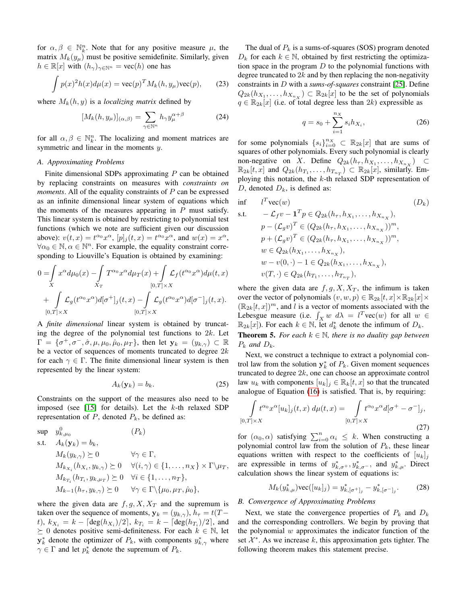for  $\alpha, \beta \in \mathbb{N}_k^n$ . Note that for any positive measure  $\mu$ , the matrix  $M_k(y_\mu)$  must be positive semidefinite. Similarly, given  $h \in \mathbb{R}[x]$  with  $(h_{\gamma})_{\gamma \in \mathbb{N}^n} = \text{vec}(h)$  one has

$$
\int p(x)^{2}h(x)d\mu(x) = \text{vec}(p)^{T}M_{k}(h, y_{\mu})\text{vec}(p), \qquad (23)
$$

where  $M_k(h, y)$  is a *localizing matrix* defined by

$$
[M_k(h, y_\mu)]_{(\alpha, \beta)} = \sum_{\gamma \in \mathbb{N}^n} h_\gamma y_\mu^{\alpha + \beta} \tag{24}
$$

for all  $\alpha, \beta \in \mathbb{N}_k^n$ . The localizing and moment matrices are symmetric and linear in the moments y.

# <span id="page-4-0"></span>*A. Approximating Problems*

Finite dimensional SDPs approximating  $P$  can be obtained by replacing constraints on measures with *constraints on moments*. All of the equality constraints of P can be expressed as an infinite dimensional linear system of equations which the moments of the measures appearing in  $P$  must satisfy. This linear system is obtained by restricting to polynomial test functions (which we note are sufficient given our discussion above):  $v(t, x) = t^{\alpha_0} x^{\alpha}$ ,  $[p]_j(t, x) = t^{\alpha_0} x^{\alpha}$ , and  $w(x) = x^{\alpha}$ ,  $\forall \alpha_0 \in \mathbb{N}, \alpha \in \mathbb{N}^n$ . For example, the equality constraint corresponding to Liouville's Equation is obtained by examining:

$$
0 = \int_{X} x^{\alpha} d\mu_0(x) - \int_{X_T} T^{\alpha_0} x^{\alpha} d\mu_T(x) + \int_{[0,T] \times X} \mathcal{L}_f(t^{\alpha_0} x^{\alpha}) d\mu(t, x)
$$
  
+ 
$$
\int_{[0,T] \times X} \mathcal{L}_g(t^{\alpha_0} x^{\alpha}) d[\sigma^+]_j(t, x) - \int_{[0,T] \times X} \mathcal{L}_g(t^{\alpha_0} x^{\alpha}) d[\sigma^-]_j(t, x).
$$

A *finite dimensional* linear system is obtained by truncating the degree of the polynomial test functions to  $2k$ . Let  $\Gamma = \{\sigma^+, \sigma^-, \hat{\sigma}, \mu, \mu_0, \hat{\mu}_0, \mu_T\},\$  then let  $\mathbf{y}_k = (y_{k,\gamma}) \subset \mathbb{R}$ be a vector of sequences of moments truncated to degree  $2k$ for each  $\gamma \in \Gamma$ . The finite dimensional linear system is then represented by the linear system:

$$
A_k(\mathbf{y}_k) = b_k. \tag{25}
$$

Constraints on the support of the measures also need to be imposed (see [\[15\]](#page-7-16) for details). Let the  $k$ -th relaxed SDP representation of  $P$ , denoted  $P_k$ , be defined as:

$$
\sup \quad y_{k,\mu_0}^0 \quad (P_k)
$$
\n
$$
\text{s.t.} \quad A_k(\mathbf{y}_k) = b_k,
$$
\n
$$
M_k(y_{k,\gamma}) \succeq 0 \quad \forall \gamma \in \Gamma,
$$
\n
$$
M_{k_{X_i}}(h_{X_i}, y_{k,\gamma}) \succeq 0 \quad \forall (i,\gamma) \in \{1, \dots, n_X\} \times \Gamma \setminus \mu_T,
$$
\n
$$
M_{k_{T_i}}(h_{T_i}, y_{k,\mu_T}) \succeq 0 \quad \forall i \in \{1, \dots, n_T\},
$$
\n
$$
M_{k-1}(h_{\tau}, y_{k,\gamma}) \succeq 0 \quad \forall \gamma \in \Gamma \setminus \{\mu_0, \mu_T, \hat{\mu}_0\},
$$

where the given data are  $f, g, X, X_T$  and the supremum is taken over the sequence of moments,  $y_k = (y_{k,\gamma}), h_{\tau} = t(T$ t),  $k_{X_i} = k - \lceil \deg(h_{X_i})/2 \rceil$ ,  $k_{T_i} = k - \lceil \deg(h_{T_i})/2 \rceil$ , and  $\succeq$  0 denotes positive semi-definiteness. For each  $k \in \mathbb{N}$ , let  $y_k^*$  denote the optimizer of  $P_k$ , with components  $y_{k,\gamma}^*$  where  $\gamma \in \Gamma$  and let  $p_k^*$  denote the supremum of  $P_k$ .

The dual of  $P_k$  is a sums-of-squares (SOS) program denoted  $D_k$  for each  $k \in \mathbb{N}$ , obtained by first restricting the optimization space in the program  $D$  to the polynomial functions with degree truncated to  $2k$  and by then replacing the non-negativity constraints in D with a *sums-of-squares* constraint [\[25\]](#page-7-17). Define  $Q_{2k}(h_{X_1},\ldots,h_{X_{n_X}})\subset \mathbb{R}_{2k}[x]$  to be the set of polynomials  $q \in \mathbb{R}_{2k}[x]$  (i.e. of total degree less than  $2k$ ) expressible as

$$
q = s_0 + \sum_{i=1}^{n_X} s_i h_{X_i},
$$
 (26)

for some polynomials  ${s_i}_{i=0}^{n_X} \subset \mathbb{R}_{2k}[x]$  that are sums of squares of other polynomials. Every such polynomial is clearly non-negative on X. Define  $Q_{2k}(h_{\tau}, h_{X_1}, \dots, h_{X_{n_X}}) \subset$  $\mathbb{R}_{2k}[t,x]$  and  $Q_{2k}(h_{T_1},\ldots,h_{T_{n_T}})\subset \mathbb{R}_{2k}[x]$ , similarly. Employing this notation, the  $k$ -th relaxed SDP representation of D, denoted  $D_k$ , is defined as:

$$
\begin{aligned}\n\inf \quad & l^T \text{vec}(w) & (D_k) \\
\text{s.t.} \quad & -\mathcal{L}_f v - \mathbf{1}^T p \in Q_{2k}(h_\tau, h_{X_1}, \dots, h_{X_{n_X}}), \\
& p - (\mathcal{L}_g v)^T \in (Q_{2k}(h_\tau, h_{X_1}, \dots, h_{X_{n_X}}))^m, \\
& p + (\mathcal{L}_g v)^T \in (Q_{2k}(h_\tau, h_{X_1}, \dots, h_{X_{n_X}}))^m, \\
& w \in Q_{2k}(h_{X_1}, \dots, h_{X_{n_X}}), \\
& w - v(0, \cdot) - 1 \in Q_{2k}(h_{X_1}, \dots, h_{X_{n_X}}), \\
& v(T, \cdot) \in Q_{2k}(h_{T_1}, \dots, h_{T_{n_T}}),\n\end{aligned}
$$
\n
$$
(D_k)
$$

where the given data are  $f, g, X, X_T$ , the infimum is taken over the vector of polynomials  $(v, w, p) \in \mathbb{R}_{2k}[t, x] \times \mathbb{R}_{2k}[x] \times$  $(\mathbb{R}_{2k}[t, x])^m$ , and l is a vector of moments associated with the Lebesgue measure (i.e.  $\int_X w \ d\lambda = l^T \text{vec}(w)$  for all  $w \in$  $\mathbb{R}_{2k}[x]$ ). For each  $k \in \mathbb{N}$ , let  $d_k^*$  denote the infimum of  $D_k$ . **Theorem 5.** *For each*  $k \in \mathbb{N}$ *, there is no duality gap between*  $P_k$  and  $D_k$ .

Next, we construct a technique to extract a polynomial control law from the solution  $y_k^*$  of  $P_k$ . Given moment sequences truncated to degree  $2k$ , one can choose an approximate control law  $u_k$  with components  $[u_k]_j \in \mathbb{R}_k[t, x]$  so that the truncated analogue of Equation [\(16\)](#page-2-4) is satisfied. That is, by requiring:

$$
\int_{[0,T]\times X} t^{\alpha_0} x^{\alpha} [u_k]_j(t,x) d\mu(t,x) = \int_{[0,T]\times X} t^{\alpha_0} x^{\alpha} d[\sigma^+ - \sigma^-]_j,
$$
\n(27)

for  $(\alpha_0, \alpha)$  satisfying  $\sum_{i=0}^n \alpha_i \leq k$ . When constructing a polynomial control law from the solution of  $P_k$ , these linear equations written with respect to the coefficients of  $[u_k]_j$ are expressible in terms of  $y_{k,\sigma+}^*$ ,  $y_{k,\sigma-}^*$ , and  $y_{k,\mu}^*$ . Direct calculation shows the linear system of equations is:

<span id="page-4-2"></span>
$$
M_k(y_{k,\mu}^*)\text{vec}([u_k]_j) = y_{k,[\sigma^+]_j}^* - y_{k,[\sigma^-]_j}^*.
$$
 (28)

## <span id="page-4-1"></span>*B. Convergence of Approximating Problems*

Next, we state the convergence properties of  $P_k$  and  $D_k$ and the corresponding controllers. We begin by proving that the polynomial  $w$  approximates the indicator function of the set  $\mathcal{X}^*$ . As we increase k, this approximation gets tighter. The following theorem makes this statement precise.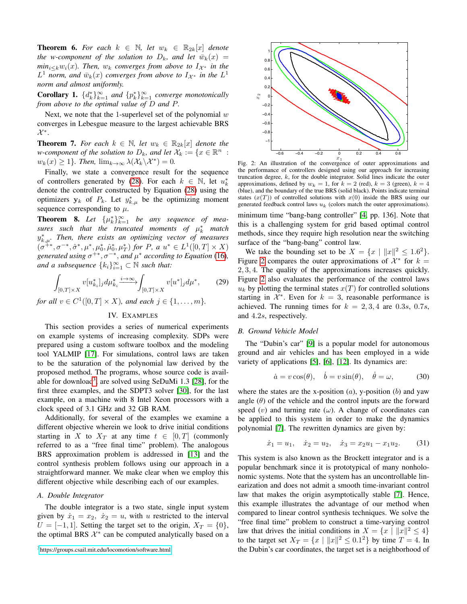**Theorem 6.** For each  $k \in \mathbb{N}$ , let  $w_k \in \mathbb{R}_{2k}[x]$  denote *the w-component of the solution to*  $D_k$ *, and let*  $\bar{w}_k(x)$  =  $min_{i \leq k} w_i(x)$ *. Then,*  $w_k$  *converges from above to*  $I_{\mathcal{X}^*}$  *in the*  $L^1$  *norm, and*  $\bar{w}_k(x)$  *converges from above to*  $I_{\mathcal{X}^*}$  *in the*  $L^1$ *norm and almost uniformly.*

**Corollary 1.**  $\{d_k^*\}_{k=1}^\infty$  *and*  $\{p_k^*\}_{k=1}^\infty$  *converge monotonically from above to the optimal value of* D *and* P*.*

Next, we note that the 1-superlevel set of the polynomial  $w$ converges in Lebesgue measure to the largest achievable BRS  $\mathcal{X}^*$ .

**Theorem 7.** For each  $k \in \mathbb{N}$ , let  $w_k \in \mathbb{R}_{2k}[x]$  denote the *w*-component of the solution to  $D_k$ , and let  $\mathcal{X}_k := \{x \in \mathbb{R}^n : k \in \mathbb{R}^n : k \geq 0\}$  $w_k(x) \geq 1$ *}. Then,*  $\lim_{k \to \infty} \lambda(\mathcal{X}_k \backslash \mathcal{X}^*) = 0$ .

Finally, we state a convergence result for the sequence of controllers generated by [\(28\)](#page-4-2). For each  $k \in \mathbb{N}$ , let  $u_k^*$ denote the controller constructed by Equation [\(28\)](#page-4-2) using the optimizers  $y_k$  of  $P_k$ . Let  $y_{k,\mu}^*$  be the optimizing moment sequence corresponding to  $\mu$ .

<span id="page-5-2"></span>**Theorem 8.** Let  $\{\mu_k^*\}_{k=1}^\infty$  be any sequence of mea $sures$  such that the truncated moments of  $\mu_k^*$  match y ∗ k,µ*. Then, there exists an optimizing vector of measures*  $(\sigma^{+*}, \sigma^{-*}, \hat{\sigma}^*, \mu^*, \mu_0^*, \hat{\mu}_0^*, \mu_T^*)$  *for P*, *a*  $u^* \in L^1([0, T] \times X)$ *generated using*  $\sigma^{+*}, \sigma^{-*}$ *, and*  $\mu^*$  *according to Equation* [\(16\)](#page-2-4)*,* and a subsequence  $\{k_i\}_{i=1}^{\infty} \subset \mathbb{N}$  such that:

$$
\int_{[0,T]\times X} v[u_{k_i}^*]_j d\mu_{k_i}^* \xrightarrow{i\to\infty} \int_{[0,T]\times X} v[u^*]_j d\mu^*,\qquad(29)
$$

<span id="page-5-0"></span>*for all*  $v \in C^1([0, T] \times X)$ *, and each*  $j \in \{1, \ldots, m\}$ *.* 

# IV. EXAMPLES

This section provides a series of numerical experiments on example systems of increasing complexity. SDPs were prepared using a custom software toolbox and the modeling tool YALMIP [\[17\]](#page-7-18). For simulations, control laws are taken to be the saturation of the polynomial law derived by the proposed method. The programs, whose source code is avail-able for download<sup>[3](#page-0-0)</sup>, are solved using SeDuMi 1.3 [\[28\]](#page-7-19), for the first three examples, and the SDPT3 solver [\[30\]](#page-7-20), for the last example, on a machine with 8 Intel Xeon processors with a clock speed of 3.1 GHz and 32 GB RAM.

Additionally, for several of the examples we examine a different objective wherein we look to drive initial conditions starting in X to  $X_T$  at any time  $t \in [0, T]$  (commonly referred to as a "free final time" problem). The analogous BRS approximation problem is addressed in [\[13\]](#page-7-6) and the control synthesis problem follows using our approach in a straightforward manner. We make clear when we employ this different objective while describing each of our examples.

## *A. Double Integrator*

The double integrator is a two state, single input system given by  $\dot{x}_1 = x_2$ ,  $\dot{x}_2 = u$ , with u restricted to the interval  $U = [-1, 1]$ . Setting the target set to the origin,  $X_T = \{0\}$ , the optimal BRS  $\mathcal{X}^*$  can be computed analytically based on a



<span id="page-5-1"></span>

Fig. 2: An illustration of the convergence of outer approximations and the performance of controllers designed using our approach for increasing truncation degree, k, for the double integrator. Solid lines indicate the outer approximations, defined by  $w_k = 1$ , for  $k = 2$  (red),  $k = 3$  (green),  $k = 4$ (blue), and the boundary of the true BRS (solid black). Points indicate terminal states  $(x(T))$  of controlled solutions with  $x(0)$  inside the BRS using our generated feedback control laws  $u_k$  (colors match the outer approximations).

minimum time "bang-bang controller" [\[4,](#page-7-21) pp. 136]. Note that this is a challenging system for grid based optimal control methods, since they require high resolution near the switching surface of the "bang-bang" control law.

We take the bounding set to be  $X = \{x \mid ||x||^2 \le 1.6^2\}.$ Figure [2](#page-5-1) compares the outer approximations of  $\mathcal{X}^*$  for  $k =$ 2, 3, 4. The quality of the approximations increases quickly. Figure [2](#page-5-1) also evaluates the performance of the control laws  $u_k$  by plotting the terminal states  $x(T)$  for controlled solutions starting in  $\mathcal{X}^*$ . Even for  $k = 3$ , reasonable performance is achieved. The running times for  $k = 2, 3, 4$  are 0.3s, 0.7s, and 4.2s, respectively.

# *B. Ground Vehicle Model*

The "Dubin's car" [\[9\]](#page-7-22) is a popular model for autonomous ground and air vehicles and has been employed in a wide variety of applications [\[5\]](#page-7-23), [\[6\]](#page-7-24), [\[12\]](#page-7-25). Its dynamics are:

$$
\dot{a} = v \cos(\theta), \quad \dot{b} = v \sin(\theta), \quad \dot{\theta} = \omega,\tag{30}
$$

where the states are the x-position  $(a)$ , y-position  $(b)$  and yaw angle  $(\theta)$  of the vehicle and the control inputs are the forward speed  $(v)$  and turning rate  $(\omega)$ . A change of coordinates can be applied to this system in order to make the dynamics polynomial [\[7\]](#page-7-26). The rewritten dynamics are given by:

$$
\dot{x}_1 = u_1, \quad \dot{x}_2 = u_2, \quad \dot{x}_3 = x_2 u_1 - x_1 u_2. \tag{31}
$$

This system is also known as the Brockett integrator and is a popular benchmark since it is prototypical of many nonholonomic systems. Note that the system has an uncontrollable linearization and does not admit a smooth time-invariant control law that makes the origin asymptotically stable [\[7\]](#page-7-26). Hence, this example illustrates the advantage of our method when compared to linear control synthesis techniques. We solve the "free final time" problem to construct a time-varying control law that drives the initial conditions in  $X = \{x \mid ||x||^2 \le 4\}$ to the target set  $X_T = \{x \mid ||x||^2 \le 0.1^2\}$  by time  $T = 4$ . In the Dubin's car coordinates, the target set is a neighborhood of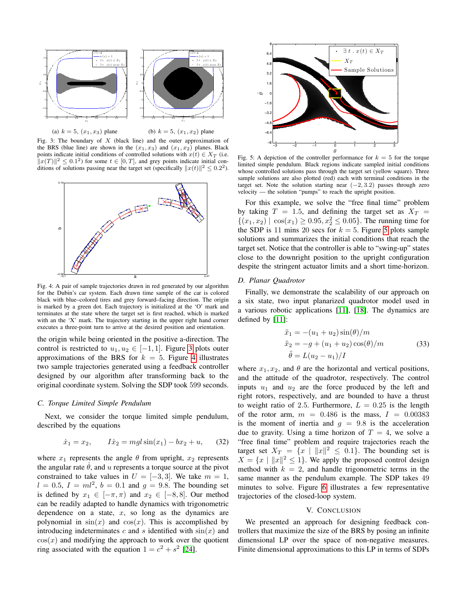<span id="page-6-0"></span>

(a)  $k = 5$ ,  $(x_1, x_3)$  plane

Fig. 3: The boundary of  $X$  (black line) and the outer approximation of the BRS (blue line) are shown in the  $(x_1, x_3)$  and  $(x_1, x_2)$  planes. Black points indicate initial conditions of controlled solutions with  $x(t) \in X_T$  (i.e.  $\Vert x(T) \Vert^2 \leq 0.1^2$ ) for some  $t \in [0, T]$ , and grey points indicate initial conditions of solutions passing near the target set (specifically  $||x(t)||^2 \le 0.2^2$ ).

<span id="page-6-1"></span>

Fig. 4: A pair of sample trajectories drawn in red generated by our algorithm for the Dubin's car system. Each drawn time sample of the car is colored black with blue–colored tires and grey forward–facing direction. The origin is marked by a green dot. Each trajectory is initialized at the 'O' mark and terminates at the state where the target set is first reached, which is marked with an the 'X' mark. The trajectory starting in the upper right hand corner executes a three-point turn to arrive at the desired position and orientation.

the origin while being oriented in the positive a-direction. The control is restricted to  $u_1, u_2 \in [-1, 1]$ . Figure [3](#page-6-0) plots outer approximations of the BRS for  $k = 5$ . Figure [4](#page-6-1) illustrates two sample trajectories generated using a feedback controller designed by our algorithm after transforming back to the original coordinate system. Solving the SDP took 599 seconds.

# *C. Torque Limited Simple Pendulum*

Next, we consider the torque limited simple pendulum, described by the equations

$$
\dot{x}_1 = x_2, \qquad I\dot{x}_2 = mgl\sin(x_1) - bx_2 + u,\qquad(32)
$$

where  $x_1$  represents the angle  $\theta$  from upright,  $x_2$  represents the angular rate  $\dot{\theta}$ , and u represents a torque source at the pivot constrained to take values in  $U = [-3, 3]$ . We take  $m = 1$ ,  $l = 0.5$ ,  $I = ml^2$ ,  $b = 0.1$  and  $g = 9.8$ . The bounding set is defined by  $x_1 \in [-\pi, \pi)$  and  $x_2 \in [-8, 8]$ . Our method can be readily adapted to handle dynamics with trigonometric dependence on a state,  $x$ , so long as the dynamics are polynomial in  $sin(x)$  and  $cos(x)$ . This is accomplished by introducing indeterminates c and s identified with  $sin(x)$  and  $cos(x)$  and modifying the approach to work over the quotient ring associated with the equation  $1 = c^2 + s^2$  [\[24\]](#page-7-27).

<span id="page-6-2"></span>

Fig. 5: A depiction of the controller performance for  $k = 5$  for the torque limited simple pendulum. Black regions indicate sampled initial conditions whose controlled solutions pass through the target set (yellow square). Three sample solutions are also plotted (red) each with terminal conditions in the target set. Note the solution starting near  $(-2, 3.2)$  passes through zero velocity — the solution "pumps" to reach the upright position.

For this example, we solve the "free final time" problem by taking  $T = 1.5$ , and defining the target set as  $X_T =$  $\{(x_1, x_2) | \cos(x_1) \ge 0.95, x_2^2 \le 0.05\}$ . The running time for the SDP is 11 mins 20 secs for  $k = 5$  $k = 5$ . Figure 5 plots sample solutions and summarizes the initial conditions that reach the target set. Notice that the controller is able to "swing-up" states close to the downright position to the upright configuration despite the stringent actuator limits and a short time-horizon.

# *D. Planar Quadrotor*

Finally, we demonstrate the scalability of our approach on a six state, two input planarized quadrotor model used in a various robotic applications [\[11\]](#page-7-28), [\[18\]](#page-7-29). The dynamics are defined by [\[11\]](#page-7-28):

$$
\ddot{x}_1 = -(u_1 + u_2)\sin(\theta)/m \n\ddot{x}_2 = -g + (u_1 + u_2)\cos(\theta)/m \n\ddot{\theta} = L(u_2 - u_1)/I
$$
\n(33)

where  $x_1, x_2$ , and  $\theta$  are the horizontal and vertical positions, and the attitude of the quadrotor, respectively. The control inputs  $u_1$  and  $u_2$  are the force produced by the left and right rotors, respectively, and are bounded to have a thrust to weight ratio of 2.5. Furthermore,  $L = 0.25$  is the length of the rotor arm,  $m = 0.486$  is the mass,  $I = 0.00383$ is the moment of inertia and  $g = 9.8$  is the acceleration due to gravity. Using a time horizon of  $T = 4$ , we solve a "free final time" problem and require trajectories reach the target set  $X_T = \{x \mid ||x||^2 \leq 0.1\}$ . The bounding set is  $X = \{x \mid ||x||^2 \le 1\}$ . We apply the proposed control design method with  $k = 2$ , and handle trigonometric terms in the same manner as the pendulum example. The SDP takes 49 minutes to solve. Figure [6](#page-7-30) illustrates a few representative trajectories of the closed-loop system.

## V. CONCLUSION

We presented an approach for designing feedback controllers that maximize the size of the BRS by posing an infinite dimensional LP over the space of non-negative measures. Finite dimensional approximations to this LP in terms of SDPs